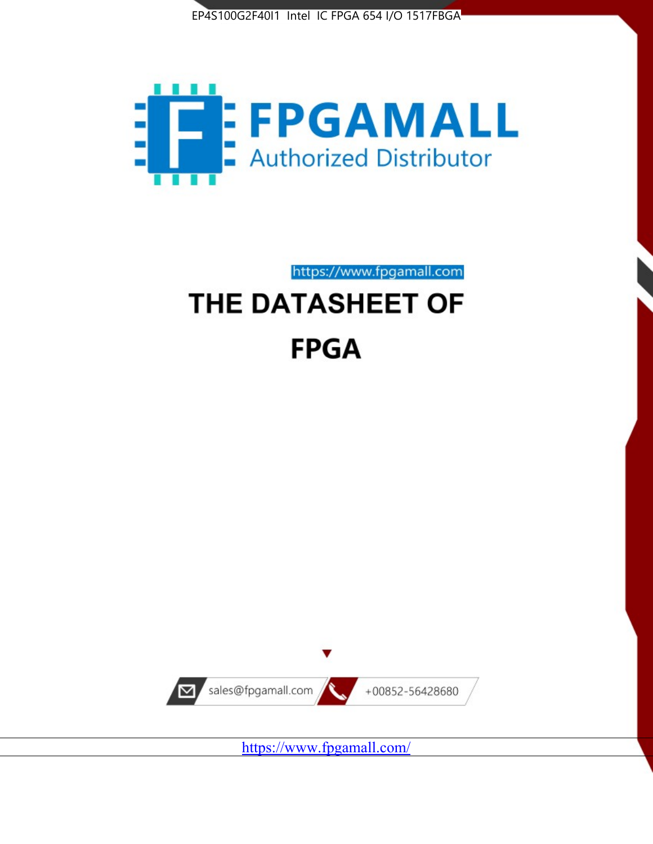



https://www.fpgamall.com

# THE DATASHEET OF **FPGA**



<https://www.fpgamall.com/>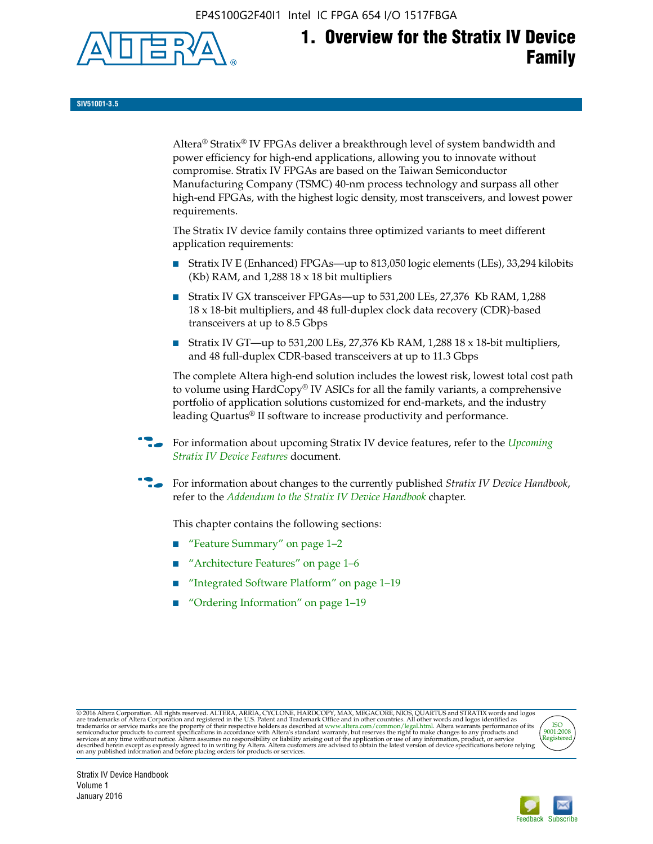EP4S100G2F40I1 Intel IC FPGA 654 I/O 1517FBGA



**SIV51001-3.5**

Altera® Stratix® IV FPGAs deliver a breakthrough level of system bandwidth and power efficiency for high-end applications, allowing you to innovate without compromise. Stratix IV FPGAs are based on the Taiwan Semiconductor Manufacturing Company (TSMC) 40-nm process technology and surpass all other high-end FPGAs, with the highest logic density, most transceivers, and lowest power requirements.

The Stratix IV device family contains three optimized variants to meet different application requirements:

- Stratix IV E (Enhanced) FPGAs—up to 813,050 logic elements (LEs), 33,294 kilobits (Kb) RAM, and 1,288 18 x 18 bit multipliers
- Stratix IV GX transceiver FPGAs—up to 531,200 LEs, 27,376 Kb RAM, 1,288 18 x 18-bit multipliers, and 48 full-duplex clock data recovery (CDR)-based transceivers at up to 8.5 Gbps
- Stratix IV GT—up to 531,200 LEs, 27,376 Kb RAM, 1,288 18 x 18-bit multipliers, and 48 full-duplex CDR-based transceivers at up to 11.3 Gbps

The complete Altera high-end solution includes the lowest risk, lowest total cost path to volume using HardCopy® IV ASICs for all the family variants, a comprehensive portfolio of application solutions customized for end-markets, and the industry leading Quartus® II software to increase productivity and performance.

f For information about upcoming Stratix IV device features, refer to the *[Upcoming](http://www.altera.com/literature/hb/stratix-iv/uf01001.pdf?GSA_pos=2&WT.oss_r=1&WT.oss=upcoming)  [Stratix IV Device Features](http://www.altera.com/literature/hb/stratix-iv/uf01001.pdf?GSA_pos=2&WT.oss_r=1&WT.oss=upcoming)* document.

f For information about changes to the currently published *Stratix IV Device Handbook*, refer to the *[Addendum to the Stratix IV Device Handbook](http://www.altera.com/literature/hb/stratix-iv/stx4_siv54002.pdf)* chapter.

This chapter contains the following sections:

- "Feature Summary" on page 1–2
- "Architecture Features" on page 1–6
- "Integrated Software Platform" on page 1–19
- "Ordering Information" on page 1–19

@2016 Altera Corporation. All rights reserved. ALTERA, ARRIA, CYCLONE, HARDCOPY, MAX, MEGACORE, NIOS, QUARTUS and STRATIX words and logos are trademarks of Altera Corporation and registered in the U.S. Patent and Trademark



Stratix IV Device Handbook Volume 1 January 2016

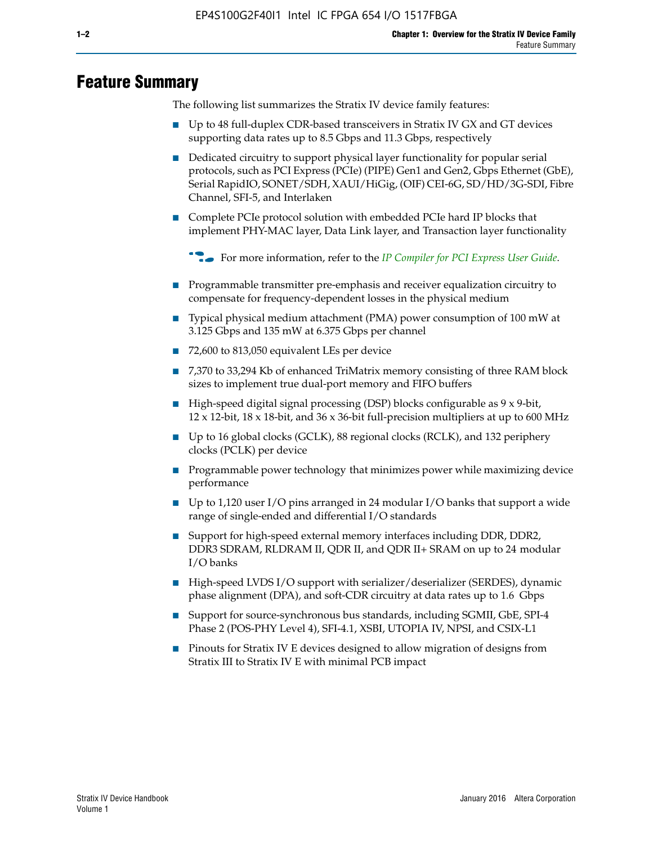# **Feature Summary**

The following list summarizes the Stratix IV device family features:

- Up to 48 full-duplex CDR-based transceivers in Stratix IV GX and GT devices supporting data rates up to 8.5 Gbps and 11.3 Gbps, respectively
- Dedicated circuitry to support physical layer functionality for popular serial protocols, such as PCI Express (PCIe) (PIPE) Gen1 and Gen2, Gbps Ethernet (GbE), Serial RapidIO, SONET/SDH, XAUI/HiGig, (OIF) CEI-6G, SD/HD/3G-SDI, Fibre Channel, SFI-5, and Interlaken
- Complete PCIe protocol solution with embedded PCIe hard IP blocks that implement PHY-MAC layer, Data Link layer, and Transaction layer functionality

**For more information, refer to the** *[IP Compiler for PCI Express User Guide](http://www.altera.com/literature/ug/ug_pci_express.pdf)***.** 

- Programmable transmitter pre-emphasis and receiver equalization circuitry to compensate for frequency-dependent losses in the physical medium
- Typical physical medium attachment (PMA) power consumption of 100 mW at 3.125 Gbps and 135 mW at 6.375 Gbps per channel
- 72,600 to 813,050 equivalent LEs per device
- 7,370 to 33,294 Kb of enhanced TriMatrix memory consisting of three RAM block sizes to implement true dual-port memory and FIFO buffers
- High-speed digital signal processing (DSP) blocks configurable as 9 x 9-bit,  $12 \times 12$ -bit,  $18 \times 18$ -bit, and  $36 \times 36$ -bit full-precision multipliers at up to 600 MHz
- Up to 16 global clocks (GCLK), 88 regional clocks (RCLK), and 132 periphery clocks (PCLK) per device
- Programmable power technology that minimizes power while maximizing device performance
- Up to 1,120 user I/O pins arranged in 24 modular I/O banks that support a wide range of single-ended and differential I/O standards
- Support for high-speed external memory interfaces including DDR, DDR2, DDR3 SDRAM, RLDRAM II, QDR II, and QDR II+ SRAM on up to 24 modular I/O banks
- High-speed LVDS I/O support with serializer/deserializer (SERDES), dynamic phase alignment (DPA), and soft-CDR circuitry at data rates up to 1.6 Gbps
- Support for source-synchronous bus standards, including SGMII, GbE, SPI-4 Phase 2 (POS-PHY Level 4), SFI-4.1, XSBI, UTOPIA IV, NPSI, and CSIX-L1
- Pinouts for Stratix IV E devices designed to allow migration of designs from Stratix III to Stratix IV E with minimal PCB impact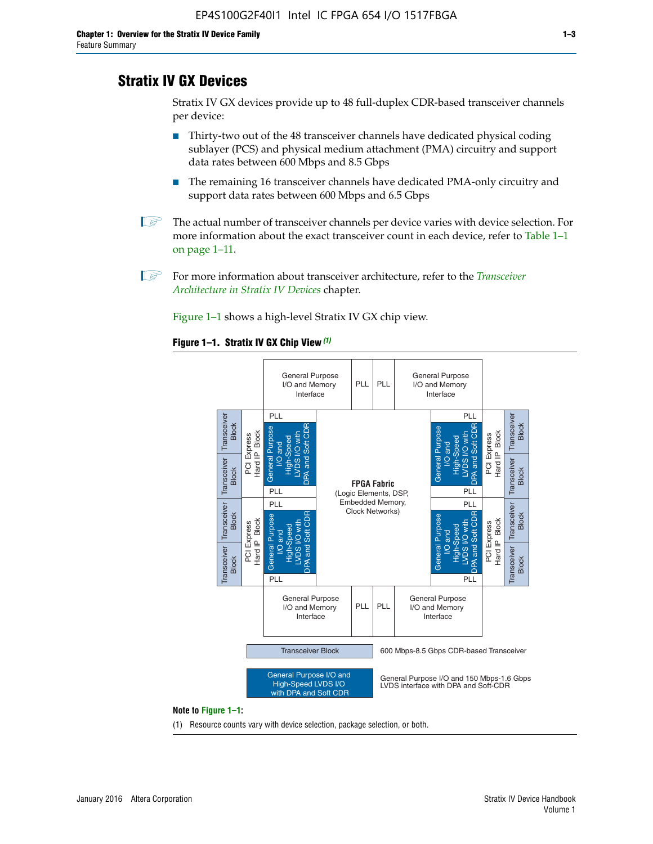# **Stratix IV GX Devices**

Stratix IV GX devices provide up to 48 full-duplex CDR-based transceiver channels per device:

- Thirty-two out of the 48 transceiver channels have dedicated physical coding sublayer (PCS) and physical medium attachment (PMA) circuitry and support data rates between 600 Mbps and 8.5 Gbps
- The remaining 16 transceiver channels have dedicated PMA-only circuitry and support data rates between 600 Mbps and 6.5 Gbps
- **1 The actual number of transceiver channels per device varies with device selection. For** more information about the exact transceiver count in each device, refer to Table 1–1 on page 1–11.
- 1 For more information about transceiver architecture, refer to the *[Transceiver](http://www.altera.com/literature/hb/stratix-iv/stx4_siv52001.pdf)  [Architecture in Stratix IV Devices](http://www.altera.com/literature/hb/stratix-iv/stx4_siv52001.pdf)* chapter.

Figure 1–1 shows a high-level Stratix IV GX chip view.

#### **Figure 1–1. Stratix IV GX Chip View** *(1)*



#### **Note to Figure 1–1:**

(1) Resource counts vary with device selection, package selection, or both.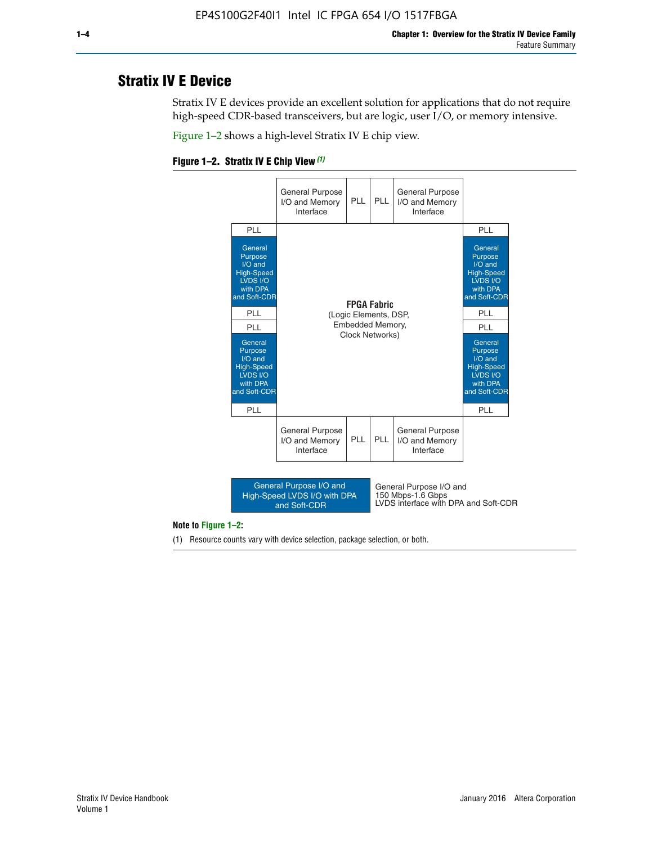# **Stratix IV E Device**

Stratix IV E devices provide an excellent solution for applications that do not require high-speed CDR-based transceivers, but are logic, user I/O, or memory intensive.

Figure 1–2 shows a high-level Stratix IV E chip view.





#### **Note to Figure 1–2:**

(1) Resource counts vary with device selection, package selection, or both.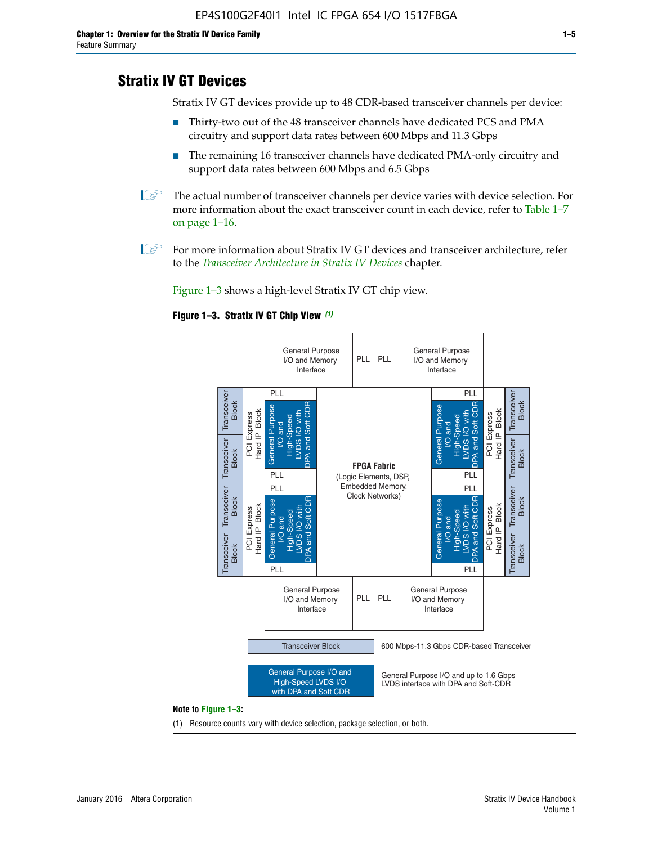# **Stratix IV GT Devices**

Stratix IV GT devices provide up to 48 CDR-based transceiver channels per device:

- Thirty-two out of the 48 transceiver channels have dedicated PCS and PMA circuitry and support data rates between 600 Mbps and 11.3 Gbps
- The remaining 16 transceiver channels have dedicated PMA-only circuitry and support data rates between 600 Mbps and 6.5 Gbps
- **1** The actual number of transceiver channels per device varies with device selection. For more information about the exact transceiver count in each device, refer to Table 1–7 on page 1–16.
- $\mathbb{I}$  For more information about Stratix IV GT devices and transceiver architecture, refer to the *[Transceiver Architecture in Stratix IV Devices](http://www.altera.com/literature/hb/stratix-iv/stx4_siv52001.pdf)* chapter.

Figure 1–3 shows a high-level Stratix IV GT chip view.

#### **Figure 1–3. Stratix IV GT Chip View** *(1)*



(1) Resource counts vary with device selection, package selection, or both.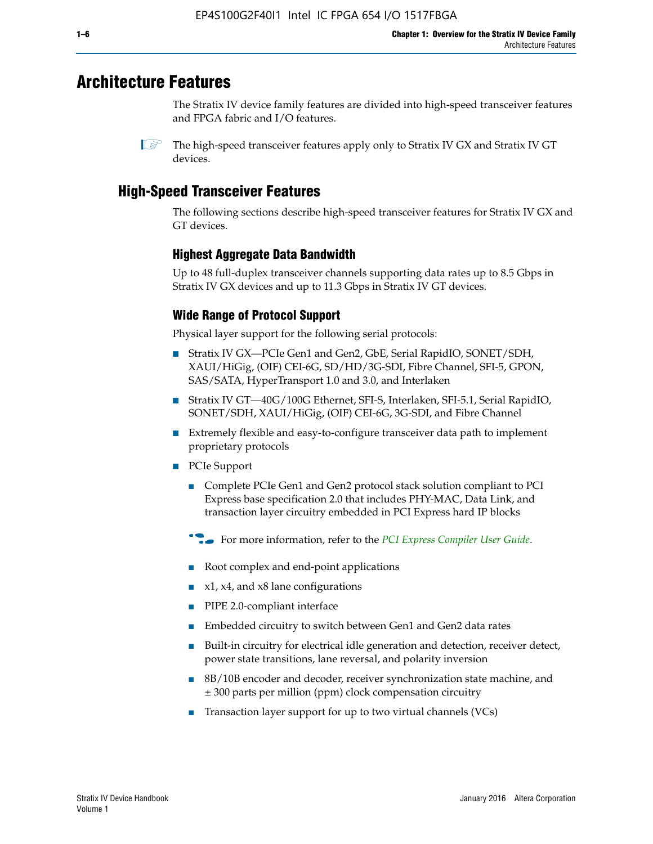# **Architecture Features**

The Stratix IV device family features are divided into high-speed transceiver features and FPGA fabric and I/O features.

# **High-Speed Transceiver Features**

The following sections describe high-speed transceiver features for Stratix IV GX and GT devices.

## **Highest Aggregate Data Bandwidth**

Up to 48 full-duplex transceiver channels supporting data rates up to 8.5 Gbps in Stratix IV GX devices and up to 11.3 Gbps in Stratix IV GT devices.

## **Wide Range of Protocol Support**

Physical layer support for the following serial protocols:

- Stratix IV GX—PCIe Gen1 and Gen2, GbE, Serial RapidIO, SONET/SDH, XAUI/HiGig, (OIF) CEI-6G, SD/HD/3G-SDI, Fibre Channel, SFI-5, GPON, SAS/SATA, HyperTransport 1.0 and 3.0, and Interlaken
- Stratix IV GT—40G/100G Ethernet, SFI-S, Interlaken, SFI-5.1, Serial RapidIO, SONET/SDH, XAUI/HiGig, (OIF) CEI-6G, 3G-SDI, and Fibre Channel
- Extremely flexible and easy-to-configure transceiver data path to implement proprietary protocols
- PCIe Support
	- Complete PCIe Gen1 and Gen2 protocol stack solution compliant to PCI Express base specification 2.0 that includes PHY-MAC, Data Link, and transaction layer circuitry embedded in PCI Express hard IP blocks
	- **For more information, refer to the [PCI Express Compiler User Guide](http://www.altera.com/literature/ug/ug_pci_express.pdf).**
	- Root complex and end-point applications
	- $x1, x4,$  and  $x8$  lane configurations
	- PIPE 2.0-compliant interface
	- Embedded circuitry to switch between Gen1 and Gen2 data rates
	- Built-in circuitry for electrical idle generation and detection, receiver detect, power state transitions, lane reversal, and polarity inversion
	- 8B/10B encoder and decoder, receiver synchronization state machine, and ± 300 parts per million (ppm) clock compensation circuitry
	- Transaction layer support for up to two virtual channels (VCs)

 $\mathbb{I}$  The high-speed transceiver features apply only to Stratix IV GX and Stratix IV GT devices.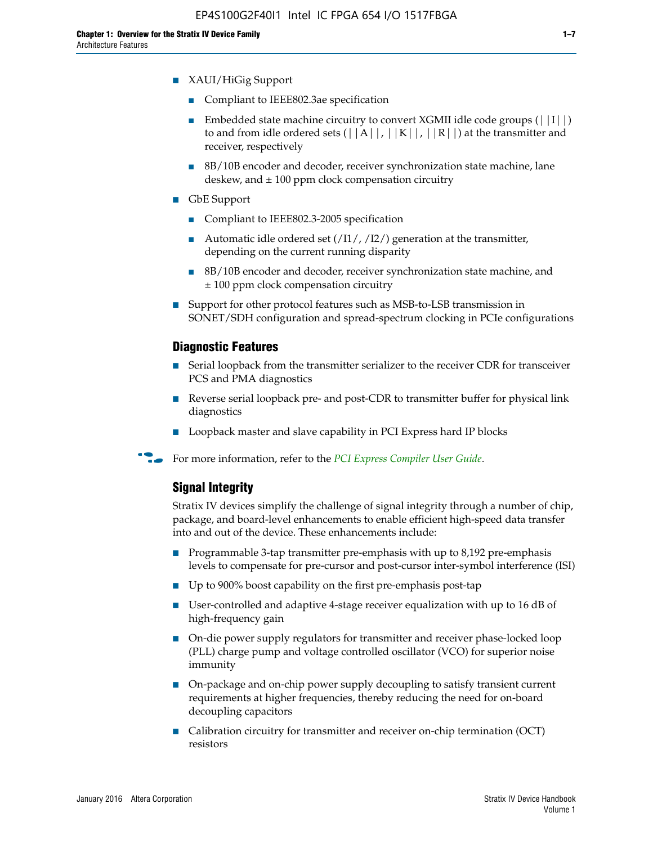- Compliant to IEEE802.3ae specification
- **■** Embedded state machine circuitry to convert XGMII idle code groups  $(|11|)$ to and from idle ordered sets  $(|A|, |K|, |R|)$  at the transmitter and receiver, respectively
- 8B/10B encoder and decoder, receiver synchronization state machine, lane deskew, and  $\pm 100$  ppm clock compensation circuitry
- GbE Support
	- Compliant to IEEE802.3-2005 specification
	- Automatic idle ordered set  $(111/112/1)$  generation at the transmitter, depending on the current running disparity
	- 8B/10B encoder and decoder, receiver synchronization state machine, and ± 100 ppm clock compensation circuitry
- Support for other protocol features such as MSB-to-LSB transmission in SONET/SDH configuration and spread-spectrum clocking in PCIe configurations

## **Diagnostic Features**

- Serial loopback from the transmitter serializer to the receiver CDR for transceiver PCS and PMA diagnostics
- Reverse serial loopback pre- and post-CDR to transmitter buffer for physical link diagnostics
- Loopback master and slave capability in PCI Express hard IP blocks
- **For more information, refer to the** *[PCI Express Compiler User Guide](http://www.altera.com/literature/ug/ug_pci_express.pdf)***.**

## **Signal Integrity**

Stratix IV devices simplify the challenge of signal integrity through a number of chip, package, and board-level enhancements to enable efficient high-speed data transfer into and out of the device. These enhancements include:

- Programmable 3-tap transmitter pre-emphasis with up to 8,192 pre-emphasis levels to compensate for pre-cursor and post-cursor inter-symbol interference (ISI)
- Up to 900% boost capability on the first pre-emphasis post-tap
- User-controlled and adaptive 4-stage receiver equalization with up to 16 dB of high-frequency gain
- On-die power supply regulators for transmitter and receiver phase-locked loop (PLL) charge pump and voltage controlled oscillator (VCO) for superior noise immunity
- On-package and on-chip power supply decoupling to satisfy transient current requirements at higher frequencies, thereby reducing the need for on-board decoupling capacitors
- Calibration circuitry for transmitter and receiver on-chip termination (OCT) resistors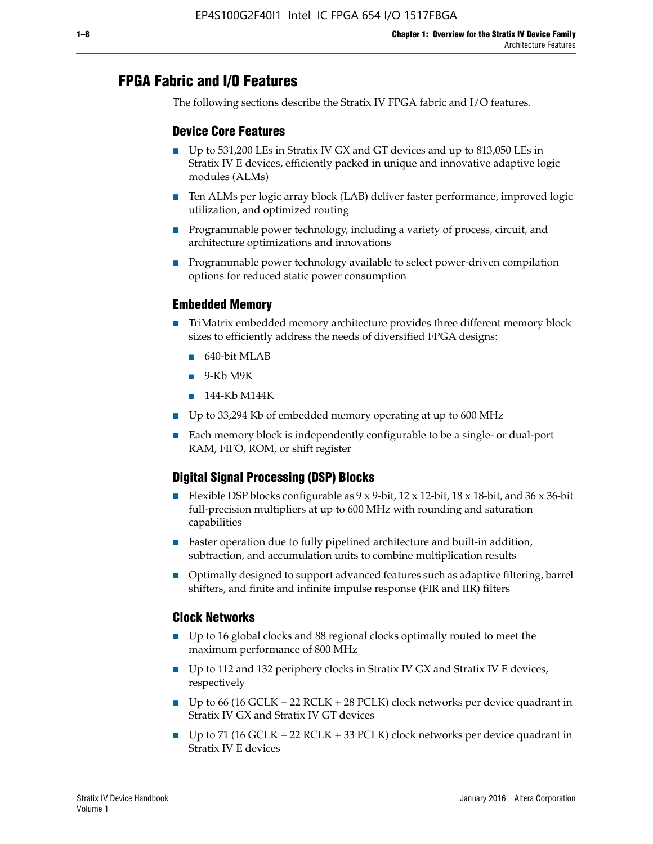# **FPGA Fabric and I/O Features**

The following sections describe the Stratix IV FPGA fabric and I/O features.

## **Device Core Features**

- Up to 531,200 LEs in Stratix IV GX and GT devices and up to 813,050 LEs in Stratix IV E devices, efficiently packed in unique and innovative adaptive logic modules (ALMs)
- Ten ALMs per logic array block (LAB) deliver faster performance, improved logic utilization, and optimized routing
- Programmable power technology, including a variety of process, circuit, and architecture optimizations and innovations
- Programmable power technology available to select power-driven compilation options for reduced static power consumption

## **Embedded Memory**

- TriMatrix embedded memory architecture provides three different memory block sizes to efficiently address the needs of diversified FPGA designs:
	- 640-bit MLAB
	- 9-Kb M9K
	- 144-Kb M144K
- Up to 33,294 Kb of embedded memory operating at up to 600 MHz
- Each memory block is independently configurable to be a single- or dual-port RAM, FIFO, ROM, or shift register

## **Digital Signal Processing (DSP) Blocks**

- Flexible DSP blocks configurable as  $9 \times 9$ -bit,  $12 \times 12$ -bit,  $18 \times 18$ -bit, and  $36 \times 36$ -bit full-precision multipliers at up to 600 MHz with rounding and saturation capabilities
- Faster operation due to fully pipelined architecture and built-in addition, subtraction, and accumulation units to combine multiplication results
- Optimally designed to support advanced features such as adaptive filtering, barrel shifters, and finite and infinite impulse response (FIR and IIR) filters

#### **Clock Networks**

- Up to 16 global clocks and 88 regional clocks optimally routed to meet the maximum performance of 800 MHz
- Up to 112 and 132 periphery clocks in Stratix IV GX and Stratix IV E devices, respectively
- Up to 66 (16 GCLK + 22 RCLK + 28 PCLK) clock networks per device quadrant in Stratix IV GX and Stratix IV GT devices
- Up to 71 (16 GCLK + 22 RCLK + 33 PCLK) clock networks per device quadrant in Stratix IV E devices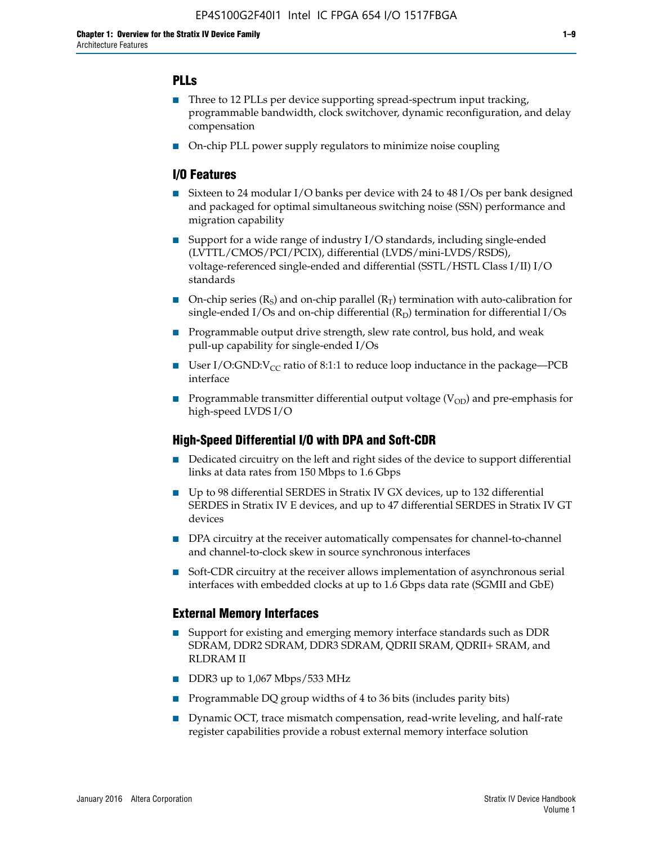## **PLLs**

- Three to 12 PLLs per device supporting spread-spectrum input tracking, programmable bandwidth, clock switchover, dynamic reconfiguration, and delay compensation
- On-chip PLL power supply regulators to minimize noise coupling

## **I/O Features**

- Sixteen to 24 modular I/O banks per device with 24 to 48 I/Os per bank designed and packaged for optimal simultaneous switching noise (SSN) performance and migration capability
- Support for a wide range of industry I/O standards, including single-ended (LVTTL/CMOS/PCI/PCIX), differential (LVDS/mini-LVDS/RSDS), voltage-referenced single-ended and differential (SSTL/HSTL Class I/II) I/O standards
- **O**n-chip series  $(R_S)$  and on-chip parallel  $(R_T)$  termination with auto-calibration for single-ended I/Os and on-chip differential  $(R_D)$  termination for differential I/Os
- Programmable output drive strength, slew rate control, bus hold, and weak pull-up capability for single-ended I/Os
- User I/O:GND: $V_{CC}$  ratio of 8:1:1 to reduce loop inductance in the package—PCB interface
- **■** Programmable transmitter differential output voltage ( $V_{OD}$ ) and pre-emphasis for high-speed LVDS I/O

#### **High-Speed Differential I/O with DPA and Soft-CDR**

- Dedicated circuitry on the left and right sides of the device to support differential links at data rates from 150 Mbps to 1.6 Gbps
- Up to 98 differential SERDES in Stratix IV GX devices, up to 132 differential SERDES in Stratix IV E devices, and up to 47 differential SERDES in Stratix IV GT devices
- DPA circuitry at the receiver automatically compensates for channel-to-channel and channel-to-clock skew in source synchronous interfaces
- Soft-CDR circuitry at the receiver allows implementation of asynchronous serial interfaces with embedded clocks at up to 1.6 Gbps data rate (SGMII and GbE)

#### **External Memory Interfaces**

- Support for existing and emerging memory interface standards such as DDR SDRAM, DDR2 SDRAM, DDR3 SDRAM, QDRII SRAM, QDRII+ SRAM, and RLDRAM II
- DDR3 up to 1,067 Mbps/533 MHz
- Programmable DQ group widths of 4 to 36 bits (includes parity bits)
- Dynamic OCT, trace mismatch compensation, read-write leveling, and half-rate register capabilities provide a robust external memory interface solution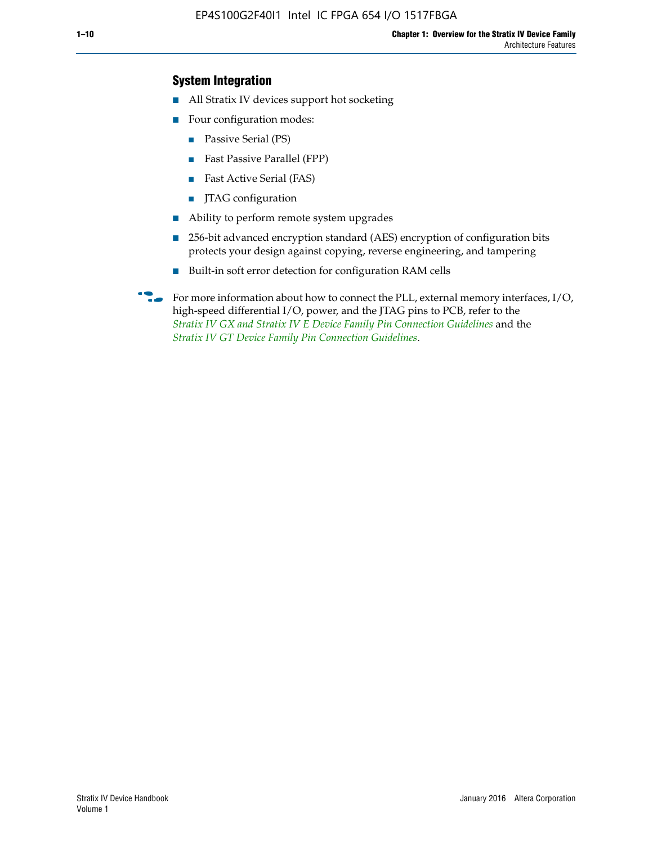## **System Integration**

- All Stratix IV devices support hot socketing
- Four configuration modes:
	- Passive Serial (PS)
	- Fast Passive Parallel (FPP)
	- Fast Active Serial (FAS)
	- JTAG configuration
- Ability to perform remote system upgrades
- 256-bit advanced encryption standard (AES) encryption of configuration bits protects your design against copying, reverse engineering, and tampering
- Built-in soft error detection for configuration RAM cells
- For more information about how to connect the PLL, external memory interfaces,  $I/O$ , high-speed differential I/O, power, and the JTAG pins to PCB, refer to the *[Stratix IV GX and Stratix IV E Device Family Pin Connection Guidelines](http://www.altera.com/literature/dp/stratix4/PCG-01005.pdf)* and the *[Stratix IV GT Device Family Pin Connection Guidelines](http://www.altera.com/literature/dp/stratix4/PCG-01006.pdf)*.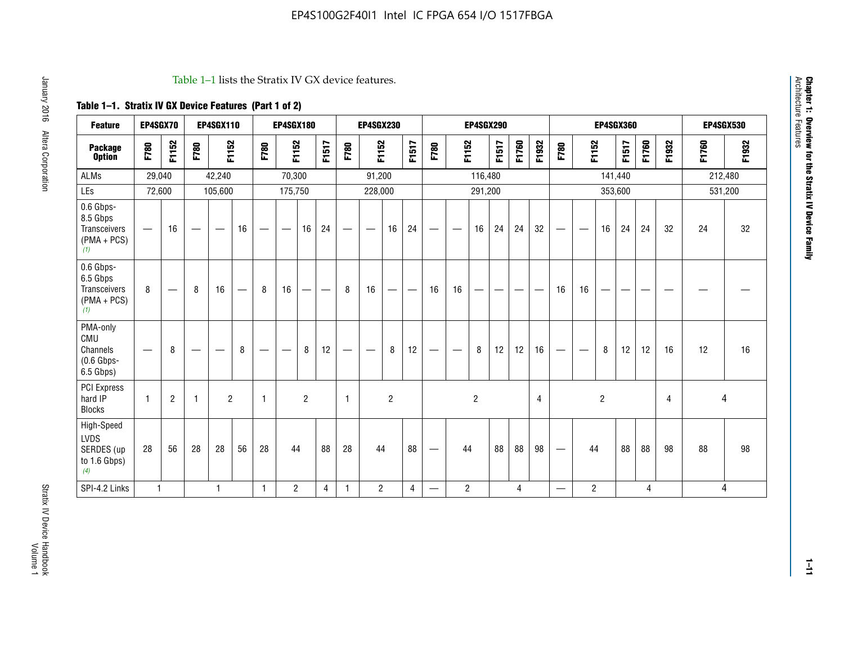#### Table 1–1 lists the Stratix IV GX device features.

## **Table 1–1. Stratix IV GX Device Features (Part 1 of 2)**

| <b>Feature</b>                                                       | <b>EP4SGX70</b>          |                |                                   | <b>EP4SGX110</b> |    |                                | <b>EP4SGX180</b>                |                |       |                          | <b>EP4SGX230</b>  |                |                         |                                 |                               | <b>EP4SGX290</b> |       |       |       |                                 |                |                | <b>EP4SGX360</b> |                |       |       | <b>EP4SGX530</b> |
|----------------------------------------------------------------------|--------------------------|----------------|-----------------------------------|------------------|----|--------------------------------|---------------------------------|----------------|-------|--------------------------|-------------------|----------------|-------------------------|---------------------------------|-------------------------------|------------------|-------|-------|-------|---------------------------------|----------------|----------------|------------------|----------------|-------|-------|------------------|
| <b>Package</b><br><b>Option</b>                                      | F780                     | F1152          | F780                              | F1152            |    | F780                           | F1152                           |                | F1517 | F780                     | F1152             |                | F1517                   | F780                            | F1152                         |                  | F1517 | F1760 | F1932 | F780                            | F1152          |                | F1517            | F1760          | F1932 | F1760 | F1932            |
| <b>ALMs</b>                                                          | 29,040                   |                |                                   | 42,240           |    |                                | 70,300                          |                |       |                          | 91,200            |                |                         |                                 |                               | 116,480          |       |       |       |                                 |                |                | 141,440          |                |       |       | 212,480          |
| LEs                                                                  | 72,600                   |                |                                   | 105,600          |    |                                | 175,750                         |                |       |                          | 228,000           |                |                         |                                 |                               | 291,200          |       |       |       |                                 |                |                | 353,600          |                |       |       | 531,200          |
| 0.6 Gbps-<br>8.5 Gbps<br><b>Transceivers</b><br>$(PMA + PCs)$<br>(1) | $\overline{\phantom{0}}$ | 16             | $\overbrace{\phantom{123221111}}$ |                  | 16 | -                              | $\hspace{0.1mm}-\hspace{0.1mm}$ | 16             | 24    |                          | $\hspace{0.05cm}$ | 16             | 24                      | $\hspace{0.1mm}-\hspace{0.1mm}$ | $\overbrace{\phantom{aaaaa}}$ | 16               | 24    | 24    | 32    | $\hspace{0.1mm}-\hspace{0.1mm}$ |                | 16             | 24               | 24             | 32    | 24    | 32               |
| 0.6 Gbps-<br>6.5 Gbps<br>Transceivers<br>$(PMA + PCs)$<br>(1)        | 8                        |                | 8                                 | 16               |    | 8                              | 16                              | -              | —     | 8                        | 16                | --             |                         | 16                              | 16                            |                  |       |       |       | 16                              | 16             |                |                  |                |       |       |                  |
| PMA-only<br>CMU<br>Channels<br>$(0.6$ Gbps-<br>6.5 Gbps)             | $\hspace{0.05cm}$        | 8              |                                   | __               | 8  | $\qquad \qquad \longleftarrow$ | $\hspace{0.05cm}$               | 8              | 12    | $\overline{\phantom{0}}$ |                   | 8              | 12                      | $\hspace{0.1mm}-\hspace{0.1mm}$ | $\qquad \qquad$               | 8                | 12    | 12    | 16    | $\hspace{0.05cm}$               |                | 8              | 12               | 12             | 16    | 12    | 16               |
| <b>PCI Express</b><br>hard IP<br><b>Blocks</b>                       | $\mathbf{1}$             | $\overline{2}$ | -1                                | $\overline{2}$   |    | 1                              |                                 | $\overline{2}$ |       | $\mathbf{1}$             |                   | $\overline{2}$ |                         |                                 |                               | $\overline{2}$   |       |       | 4     |                                 |                | $\overline{2}$ |                  |                | 4     |       | 4                |
| High-Speed<br><b>LVDS</b><br>SERDES (up<br>to 1.6 Gbps)<br>(4)       | 28                       | 56             | 28                                | 28               | 56 | 28                             | 44                              |                | 88    | 28                       | 44                |                | 88                      | $\hspace{0.1mm}-\hspace{0.1mm}$ | 44                            |                  | 88    | 88    | 98    | $\hspace{0.1mm}-\hspace{0.1mm}$ | 44             |                | 88               | 88             | 98    | 88    | 98               |
| SPI-4.2 Links                                                        | $\mathbf{1}$             |                |                                   | 1                |    | $\mathbf{1}$                   | $\overline{2}$                  |                | 4     | $\mathbf{1}$             | $\overline{2}$    |                | $\overline{\mathbf{4}}$ | $\overline{\phantom{0}}$        | $\overline{2}$                |                  |       | 4     |       |                                 | $\overline{2}$ |                |                  | $\overline{4}$ |       |       | 4                |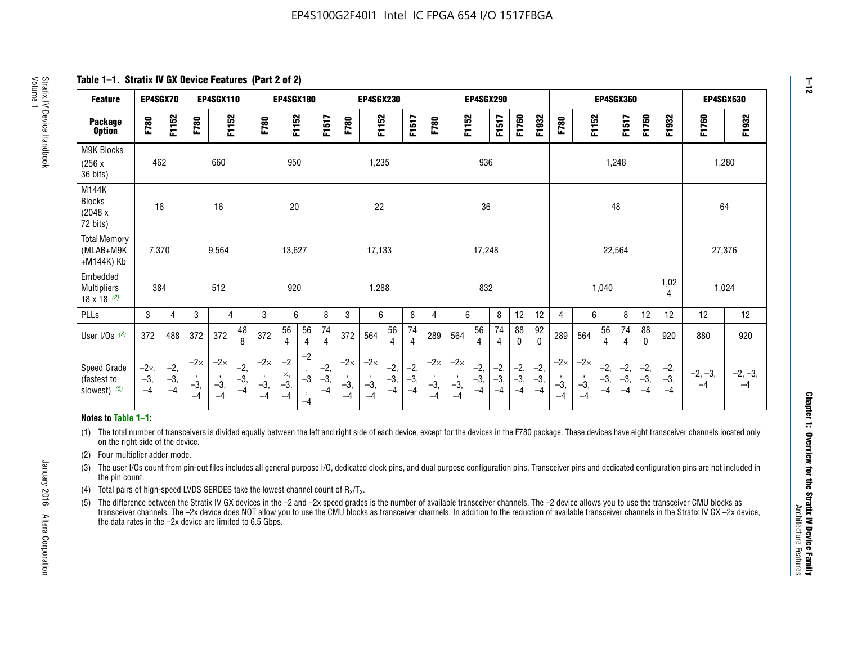**Table 1–1. Stratix IV GX Device Features (Part 2 of 2)**

| <b>Feature</b>                                       | EP4SGX70                      |                        |                             | <b>EP4SGX110</b>            |                        |                             | <b>EP4SGX180</b>            |                                            |                        |                             | <b>EP4SGX230</b>            |                        |                      |                             |                             |                        | <b>EP4SGX290</b>     |                        |                        |                             |                             |                        | <b>EP4SGX360</b>       |                        |                        | <b>EP4SGX530</b>  |                   |
|------------------------------------------------------|-------------------------------|------------------------|-----------------------------|-----------------------------|------------------------|-----------------------------|-----------------------------|--------------------------------------------|------------------------|-----------------------------|-----------------------------|------------------------|----------------------|-----------------------------|-----------------------------|------------------------|----------------------|------------------------|------------------------|-----------------------------|-----------------------------|------------------------|------------------------|------------------------|------------------------|-------------------|-------------------|
| <b>Package</b><br><b>Option</b>                      | F780                          | F1152                  | F780                        | F1152                       |                        | F780                        | F1152                       |                                            | F1517                  | F780                        | F1152                       |                        | <b>F1517</b>         | F780                        | F1152                       |                        | F1517                | F1760                  | F1932                  | F780                        | F1152                       |                        | F1517                  | F1760                  | F1932                  | F1760             | F1932             |
| M9K Blocks<br>(256x)<br>36 bits)                     | 462                           |                        |                             | 660                         |                        |                             | 950                         |                                            |                        |                             | 1,235                       |                        |                      |                             |                             | 936                    |                      |                        |                        |                             |                             | 1,248                  |                        |                        |                        |                   | 1,280             |
| M144K<br><b>Blocks</b><br>(2048 x<br>72 bits)        | 16                            |                        |                             | 16                          |                        |                             | 20                          |                                            |                        |                             | 22                          |                        |                      |                             |                             | 36                     |                      |                        |                        |                             |                             | 48                     |                        |                        |                        | 64                |                   |
| <b>Total Memory</b><br>(MLAB+M9K<br>+M144K) Kb       | 7,370                         |                        |                             | 9,564                       |                        |                             | 13,627                      |                                            |                        |                             | 17,133                      |                        |                      |                             |                             | 17,248                 |                      |                        |                        |                             |                             | 22,564                 |                        |                        |                        | 27,376            |                   |
| Embedded<br><b>Multipliers</b><br>$18 \times 18$ (2) | 384                           |                        |                             | 512                         |                        |                             | 920                         |                                            |                        |                             | 1,288                       |                        | 832                  |                             |                             |                        | 1,040<br>4           |                        |                        |                             | 1,02                        | 1,024                  |                        |                        |                        |                   |                   |
| PLLs                                                 | 3                             | $\overline{4}$         | 3                           | 4                           |                        | 3                           | 6                           |                                            | 8                      | 3                           | 6                           |                        | 8                    | 4                           | 6                           |                        | 8                    | 12                     | 12                     | 4                           | 6                           |                        | 8                      | 12                     | 12                     | 12                | 12                |
| User $I/Os$ $(3)$                                    | 372                           | 488                    | 372                         | 372                         | 48<br>8                | 372                         | 56<br>4                     | 56<br>4                                    | 74<br>$\overline{4}$   | 372                         | 564                         | 56<br>4                | 74<br>$\overline{4}$ | 289                         | 564                         | 56<br>4                | 74<br>4              | 88<br>0                | 92<br>0                | 289                         | 564                         | 56<br>4                | 74<br>4                | 88<br>$\mathbf{0}$     | 920                    | 880               | 920               |
| Speed Grade<br>(fastest to<br>slowest) (5)           | $-2\times$ ,<br>$-3,$<br>$-4$ | $-2,$<br>$-3,$<br>$-4$ | $-2\times$<br>$-3,$<br>$-4$ | $-2\times$<br>$-3,$<br>$-4$ | $-2,$<br>$-3,$<br>$-4$ | $-2\times$<br>$-3,$<br>$-4$ | $-2$<br>×,<br>$-3,$<br>$-4$ | $-2$<br>$\cdot$<br>$-3$<br>$\cdot$<br>$-4$ | $-2,$<br>$-3,$<br>$-4$ | $-2\times$<br>$-3,$<br>$-4$ | $-2\times$<br>$-3,$<br>$-4$ | $-2,$<br>$-3,$<br>$-4$ | $-2,$<br>-3,<br>$-4$ | $-2\times$<br>$-3,$<br>$-4$ | $-2\times$<br>$-3,$<br>$-4$ | $-2,$<br>$-3,$<br>$-4$ | $-2,$<br>-3,<br>$-4$ | $-2,$<br>$-3,$<br>$-4$ | $-2,$<br>$-3,$<br>$-4$ | $-2\times$<br>$-3,$<br>$-4$ | $-2\times$<br>$-3,$<br>$-4$ | $-2,$<br>$-3,$<br>$-4$ | $-2,$<br>$-3,$<br>$-4$ | $-2,$<br>$-3,$<br>$-4$ | $-2,$<br>$-3,$<br>$-4$ | $-2, -3,$<br>$-4$ | $-2, -3,$<br>$-4$ |

#### **Notes to Table 1–1:**

(1) The total number of transceivers is divided equally between the left and right side of each device, except for the devices in the F780 package. These devices have eight transceiver channels located only on the right side of the device.

- (2) Four multiplier adder mode.
- (3) The user I/Os count from pin-out files includes all general purpose I/O, dedicated clock pins, and dual purpose configuration pins. Transceiver pins and dedicated configuration pins are not included in the pin count.
- (4) Total pairs of high-speed LVDS SERDES take the lowest channel count of  $R_X/T_X$ .
- (5) The difference between the Stratix IV GX devices in the –2 and –2x speed grades is the number of available transceiver channels. The –2 device allows you to use the transceiver CMU blocks as transceiver channels. The –2x device does NOT allow you to use the CMU blocks as transceiver channels. In addition to the reduction of available transceiver channels in the Stratix IV GX –2x device, the data rates in the –2x device are limited to 6.5 Gbps.

January 2016 Altera Corporation

Altera Corporation

January 2016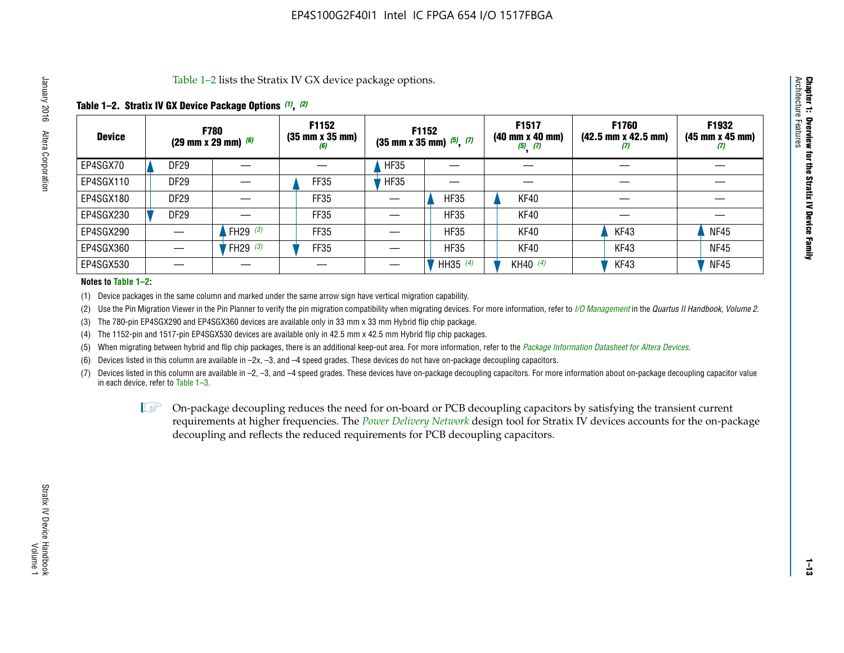Table 1–2 lists the Stratix IV GX device package options.

#### **Table 1–2. Stratix IV GX Device Package Options** *(1)***,** *(2)*

| <b>Device</b> |                  | <b>F780</b><br>$(29 \text{ mm} \times 29 \text{ mm})$ (6) | F1152<br>$(35 \, \text{mm} \times 35 \, \text{mm})$<br>(6) |             | <b>F1152</b><br>$(35$ mm x 35 mm) $(5)$ , $(7)$ | F1517<br>(40 mm x 40 mm)<br>$(5)$ $(7)$ | F1760<br>$(42.5 \text{ mm} \times 42.5 \text{ mm})$<br>Ш | F1932<br>$(45 \, \text{mm} \times 45 \, \text{mm})$<br>(7) |
|---------------|------------------|-----------------------------------------------------------|------------------------------------------------------------|-------------|-------------------------------------------------|-----------------------------------------|----------------------------------------------------------|------------------------------------------------------------|
| EP4SGX70      | <b>DF29</b>      |                                                           |                                                            | <b>HF35</b> |                                                 |                                         |                                                          |                                                            |
| EP4SGX110     | DF <sub>29</sub> |                                                           | FF35                                                       | <b>HF35</b> |                                                 |                                         |                                                          |                                                            |
| EP4SGX180     | <b>DF29</b>      |                                                           | FF35                                                       |             | <b>HF35</b>                                     | KF40                                    |                                                          |                                                            |
| EP4SGX230     | DF <sub>29</sub> |                                                           | FF35                                                       |             | <b>HF35</b>                                     | KF40                                    |                                                          |                                                            |
| EP4SGX290     |                  | FH29 $(3)$                                                | <b>FF35</b>                                                |             | <b>HF35</b>                                     | KF40                                    | KF43                                                     | <b>NF45</b>                                                |
| EP4SGX360     |                  | FH29 $(3)$                                                | <b>FF35</b>                                                |             | <b>HF35</b>                                     | KF40                                    | KF43                                                     | <b>NF45</b>                                                |
| EP4SGX530     |                  |                                                           |                                                            |             | HH35 (4)                                        | KH40 (4)                                | KF43                                                     | <b>NF45</b>                                                |

#### **Notes to Table 1–2:**

(1) Device packages in the same column and marked under the same arrow sign have vertical migration capability.

(2) Use the Pin Migration Viewer in the Pin Planner to verify the pin migration compatibility when migrating devices. For more information, refer to *[I/O Management](http://www.altera.com/literature/hb/qts/qts_qii52013.pdf)* in the *Quartus II Handbook, Volume 2*.

(3) The 780-pin EP4SGX290 and EP4SGX360 devices are available only in 33 mm x 33 mm Hybrid flip chip package.

(4) The 1152-pin and 1517-pin EP4SGX530 devices are available only in 42.5 mm x 42.5 mm Hybrid flip chip packages.

(5) When migrating between hybrid and flip chip packages, there is an additional keep-out area. For more information, refer to the *[Package Information Datasheet for Altera Devices](http://www.altera.com/literature/ds/dspkg.pdf)*.

(6) Devices listed in this column are available in –2x, –3, and –4 speed grades. These devices do not have on-package decoupling capacitors.

(7) Devices listed in this column are available in –2, –3, and –4 speed grades. These devices have on-package decoupling capacitors. For more information about on-package decoupling capacitor value in each device, refer to Table 1–3.

 $\mathbb{L}$ s On-package decoupling reduces the need for on-board or PCB decoupling capacitors by satisfying the transient current requirements at higher frequencies. The *[Power Delivery Network](http://www.altera.com/literature/ug/pdn_tool_stxiv.zip)* design tool for Stratix IV devices accounts for the on-package decoupling and reflects the reduced requirements for PCB decoupling capacitors.

**Chapter 1: Overview for the Stratix IV Device Family**

Chapter 1: Overview for the Stratix IV Device Family<br>Architecture Features

Architecture Features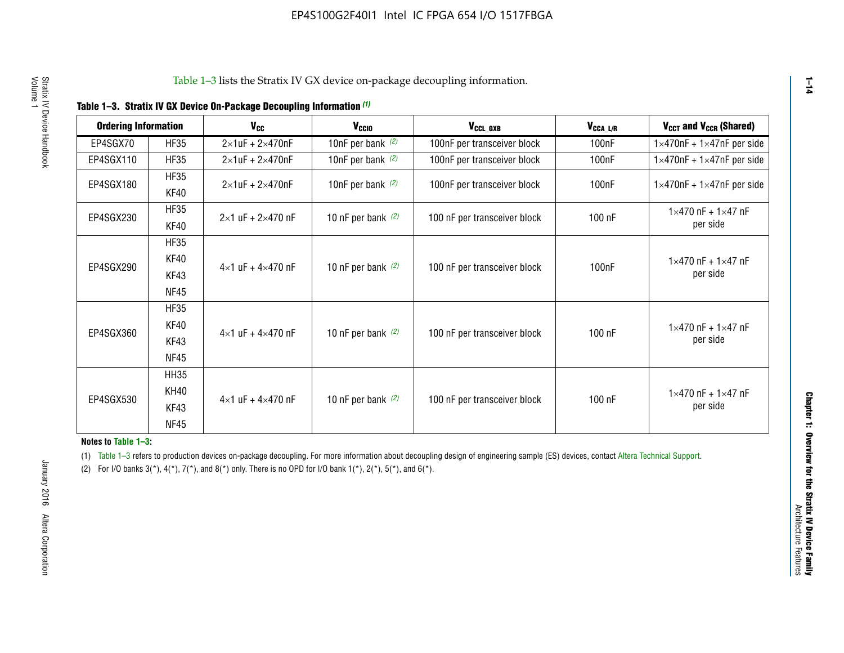| <b>Ordering Information</b> |                            | <b>V<sub>cc</sub></b>               | V <sub>ccio</sub>    | V <sub>CCL GXB</sub>         | V <sub>CCA_L/R</sub> | V <sub>CCT</sub> and V <sub>CCR</sub> (Shared)   |
|-----------------------------|----------------------------|-------------------------------------|----------------------|------------------------------|----------------------|--------------------------------------------------|
| EP4SGX70                    | <b>HF35</b>                | $2\times1$ uF + $2\times470$ nF     | 10nF per bank $(2)$  | 100nF per transceiver block  | 100 <sub>n</sub> F   | $1 \times 470$ nF + $1 \times 47$ nF per side    |
| EP4SGX110                   | <b>HF35</b>                | $2\times1$ uF + $2\times470$ nF     | 10nF per bank $(2)$  | 100nF per transceiver block  | 100 <sub>n</sub> F   | $1\times470$ nF + $1\times47$ nF per side        |
| EP4SGX180                   | <b>HF35</b><br>KF40        | $2\times1$ uF + $2\times470$ nF     | 10nF per bank $(2)$  | 100nF per transceiver block  | 100 <sub>n</sub> F   | $1 \times 470$ nF + $1 \times 47$ nF per side    |
| EP4SGX230                   | <b>HF35</b><br>KF40        | $2 \times 1$ uF + $2 \times 470$ nF | 10 nF per bank $(2)$ | 100 nF per transceiver block | 100 nF               | $1 \times 470$ nF + $1 \times 47$ nF<br>per side |
|                             | <b>HF35</b><br><b>KF40</b> |                                     |                      |                              |                      | $1 \times 470$ nF + $1 \times 47$ nF             |
| EP4SGX290                   | KF43<br><b>NF45</b>        | $4 \times 1$ uF + $4 \times 470$ nF | 10 nF per bank $(2)$ | 100 nF per transceiver block | 100nF                | per side                                         |
|                             | <b>HF35</b><br>KF40        |                                     |                      |                              |                      | $1 \times 470$ nF + $1 \times 47$ nF             |
| EP4SGX360                   | KF43<br><b>NF45</b>        | $4 \times 1$ uF + $4 \times 470$ nF | 10 nF per bank $(2)$ | 100 nF per transceiver block | 100 nF               | per side                                         |
|                             | <b>HH35</b>                |                                     |                      |                              |                      |                                                  |
| EP4SGX530                   | <b>KH40</b><br>KF43        | $4 \times 1$ uF + $4 \times 470$ nF | 10 nF per bank $(2)$ | 100 nF per transceiver block | 100 nF               | $1 \times 470$ nF + $1 \times 47$ nF<br>per side |
|                             | <b>NF45</b>                |                                     |                      |                              |                      |                                                  |

**Notes to Table 1–3:**

(1) Table 1-3 refers to production devices on-package decoupling. For more information about decoupling design of engineering sample (ES) devices, contact [Altera Technical Support](http://mysupport.altera.com/eservice/login.asp).

(2) For I/O banks  $3(*)$ ,  $4(*)$ ,  $7(*)$ , and  $8(*)$  only. There is no OPD for I/O bank  $1(*)$ ,  $2(*)$ ,  $5(*)$ , and  $6(*)$ .

**1–14**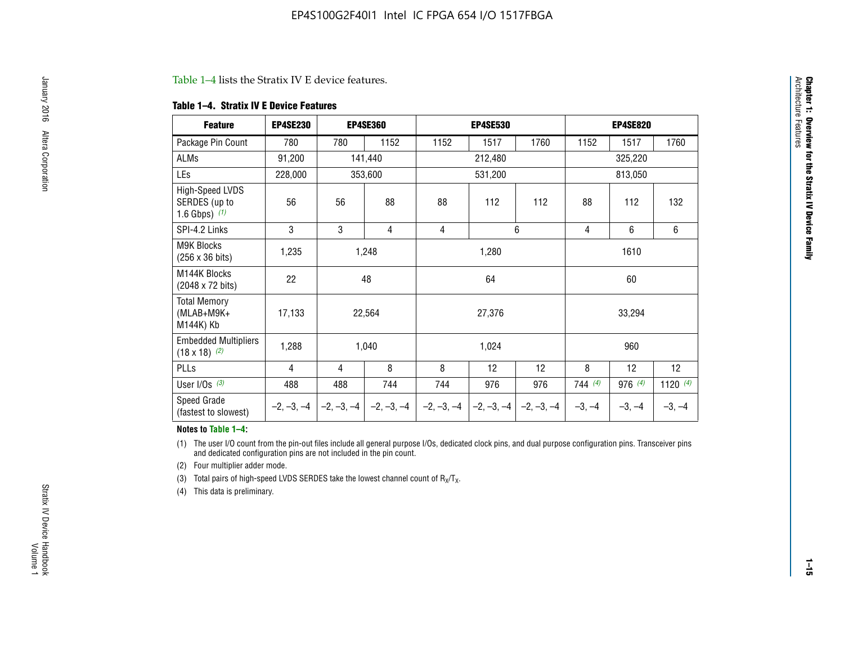#### Table 1–4 lists the Stratix IV E device features.

#### **Table 1–4. Stratix IV E Device Features**

| <b>Feature</b>                                      | <b>EP4SE230</b> |     | <b>EP4SE360</b>                        |              | <b>EP4SE530</b> |              |          | <b>EP4SE820</b> |            |
|-----------------------------------------------------|-----------------|-----|----------------------------------------|--------------|-----------------|--------------|----------|-----------------|------------|
| Package Pin Count                                   | 780             | 780 | 1152                                   | 1152         | 1517            | 1760         | 1152     | 1517            | 1760       |
| ALMs                                                | 91,200          |     | 141,440                                |              | 212,480         |              |          | 325,220         |            |
| LEs                                                 | 228,000         |     | 353,600                                |              | 531,200         |              |          | 813,050         |            |
| High-Speed LVDS<br>SERDES (up to<br>1.6 Gbps) $(1)$ | 56              | 56  | 88                                     | 88           | 112             | 112          | 88       | 112             | 132        |
| SPI-4.2 Links                                       | 3               | 3   | 4                                      | 4            |                 | 6            | 4        | 6               | 6          |
| <b>M9K Blocks</b><br>(256 x 36 bits)                | 1,235           |     | 1,248                                  |              | 1,280           |              |          | 1610            |            |
| M144K Blocks<br>(2048 x 72 bits)                    | 22              |     | 48                                     |              | 64              |              |          | 60              |            |
| <b>Total Memory</b><br>$(MLAB+M9K+$<br>M144K) Kb    | 17,133          |     | 22,564                                 |              | 27,376          |              |          | 33,294          |            |
| <b>Embedded Multipliers</b><br>$(18 \times 18)$ (2) | 1,288           |     | 1,040                                  |              | 1,024           |              |          | 960             |            |
| PLLs                                                | 4               | 4   | 8                                      | 8            | 12              | 12           | 8        | 12              | 12         |
| User I/Os $(3)$                                     | 488             | 488 | 744                                    | 744          | 976             | 976          | 744(4)   | 976 (4)         | 1120 $(4)$ |
| Speed Grade<br>(fastest to slowest)                 |                 |     | $-2, -3, -4$ $-2, -3, -4$ $-2, -3, -4$ | $-2, -3, -4$ | $-2, -3, -4$    | $-2, -3, -4$ | $-3, -4$ | $-3, -4$        | $-3, -4$   |

#### **Notes to Table 1–4:**

(1) The user I/O count from the pin-out files include all general purpose I/Os, dedicated clock pins, and dual purpose configuration pins. Transceiver pins and dedicated configuration pins are not included in the pin count.

(2) Four multiplier adder mode.

(3) Total pairs of high-speed LVDS SERDES take the lowest channel count of  $R_X/T_X$ .

(4) This data is preliminary.

Architecture Features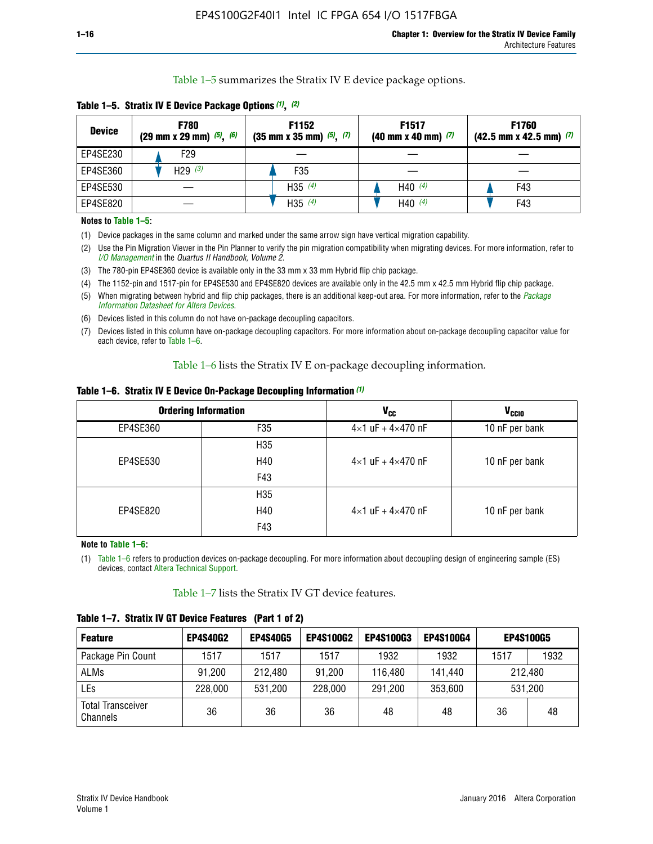Table 1–5 summarizes the Stratix IV E device package options.

| <b>Device</b> | <b>F780</b><br>$(29 \text{ mm} \times 29 \text{ mm})$ $(5)$ , $(6)$ | F1152<br>$(35 \text{ mm} \times 35 \text{ mm})$ $(5)$ , $(7)$ | F <sub>1517</sub><br>$(40 \text{ mm} \times 40 \text{ mm})$ (7) | <b>F1760</b><br>$(42.5$ mm x 42.5 mm) $(7)$ |  |  |
|---------------|---------------------------------------------------------------------|---------------------------------------------------------------|-----------------------------------------------------------------|---------------------------------------------|--|--|
| EP4SE230      | F29                                                                 |                                                               |                                                                 |                                             |  |  |
| EP4SE360      | H29 $(3)$                                                           | F35                                                           |                                                                 |                                             |  |  |
| EP4SE530      |                                                                     | $H35^{(4)}$                                                   | H40 $(4)$                                                       | F43                                         |  |  |
| EP4SE820      |                                                                     | H35 $(4)$                                                     | H40 $(4)$                                                       | F43                                         |  |  |

**Table 1–5. Stratix IV E Device Package Options** *(1)***,** *(2)*

#### **Notes to Table 1–5:**

(1) Device packages in the same column and marked under the same arrow sign have vertical migration capability.

(2) Use the Pin Migration Viewer in the Pin Planner to verify the pin migration compatibility when migrating devices. For more information, refer to *[I/O Management](http://www.altera.com/literature/hb/qts/qts_qii52013.pdf)* in the *Quartus II Handbook, Volume 2*.

(3) The 780-pin EP4SE360 device is available only in the 33 mm x 33 mm Hybrid flip chip package.

(4) The 1152-pin and 1517-pin for EP4SE530 and EP4SE820 devices are available only in the 42.5 mm x 42.5 mm Hybrid flip chip package.

(5) When migrating between hybrid and flip chip packages, there is an additional keep-out area. For more information, refer to the *[Package](http://www.altera.com/literature/ds/dspkg.pdf)  [Information Datasheet for Altera Devices](http://www.altera.com/literature/ds/dspkg.pdf)*.

(6) Devices listed in this column do not have on-package decoupling capacitors.

(7) Devices listed in this column have on-package decoupling capacitors. For more information about on-package decoupling capacitor value for each device, refer to Table 1–6.

Table 1–6 lists the Stratix IV E on-package decoupling information.

| Table 1–6. Stratix IV E Device On-Package Decoupling Information (1) |  |  |  |  |  |
|----------------------------------------------------------------------|--|--|--|--|--|
|----------------------------------------------------------------------|--|--|--|--|--|

|          | <b>Ordering Information</b> | <b>V<sub>cc</sub></b>               | <b>V<sub>CCIO</sub></b> |
|----------|-----------------------------|-------------------------------------|-------------------------|
| EP4SE360 | F35                         | $4 \times 1$ uF + $4 \times 470$ nF | 10 nF per bank          |
|          | H <sub>35</sub>             |                                     |                         |
| EP4SE530 | H40                         | $4 \times 1$ uF + $4 \times 470$ nF | 10 nF per bank          |
|          | F43                         |                                     |                         |
|          | H <sub>35</sub>             |                                     |                         |
| EP4SE820 | H40                         | $4 \times 1$ uF + $4 \times 470$ nF | 10 nF per bank          |
|          | F43                         |                                     |                         |

**Note to Table 1–6:**

(1) Table 1–6 refers to production devices on-package decoupling. For more information about decoupling design of engineering sample (ES) devices, contact [Altera Technical Support](http://mysupport.altera.com/eservice/login.asp).

Table 1–7 lists the Stratix IV GT device features.

| <b>Feature</b>                       | <b>EP4S40G2</b> | <b>EP4S40G5</b> | <b>EP4S100G2</b> | <b>EP4S100G3</b> | <b>EP4S100G4</b> |      | <b>EP4S100G5</b> |
|--------------------------------------|-----------------|-----------------|------------------|------------------|------------------|------|------------------|
| Package Pin Count                    | 1517            | 1517            | 1517             | 1932             | 1932             | 1517 | 1932             |
| <b>ALMs</b>                          | 91,200          | 212,480         | 91,200           | 116,480          | 141,440          |      | 212.480          |
| LEs                                  | 228,000         | 531,200         | 228,000          | 291,200          | 353,600          |      | 531,200          |
| <b>Total Transceiver</b><br>Channels | 36              | 36              | 36               | 48               | 48               | 36   | 48               |

**Table 1–7. Stratix IV GT Device Features (Part 1 of 2)**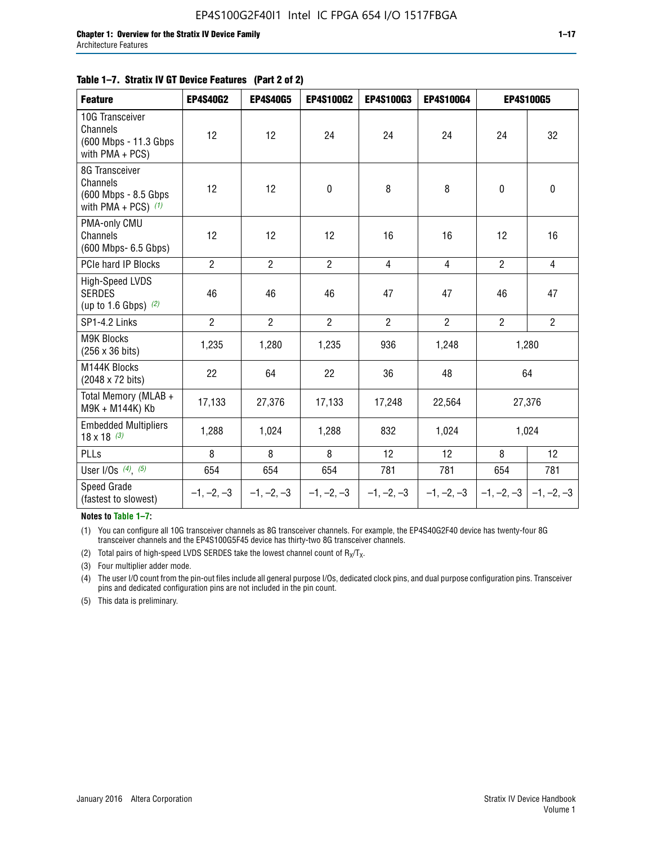#### **Table 1–7. Stratix IV GT Device Features (Part 2 of 2)**

| <b>Feature</b>                                                              | <b>EP4S40G2</b> | <b>EP4S40G5</b> | <b>EP4S100G2</b> | <b>EP4S100G3</b> | <b>EP4S100G4</b> |                | <b>EP4S100G5</b>          |
|-----------------------------------------------------------------------------|-----------------|-----------------|------------------|------------------|------------------|----------------|---------------------------|
| 10G Transceiver<br>Channels<br>(600 Mbps - 11.3 Gbps<br>with PMA + PCS)     | 12              | 12              | 24               | 24               | 24               | 24             | 32                        |
| 8G Transceiver<br>Channels<br>(600 Mbps - 8.5 Gbps<br>with PMA + PCS) $(1)$ | 12              | 12              | $\pmb{0}$        | 8                | 8                | $\mathbf 0$    | 0                         |
| PMA-only CMU<br>Channels<br>(600 Mbps- 6.5 Gbps)                            | 12              | 12              | 12               | 16               | 16               | 12             | 16                        |
| PCIe hard IP Blocks                                                         | $\overline{2}$  | $\overline{2}$  | $\overline{2}$   | $\overline{4}$   | $\overline{4}$   | $\overline{2}$ | $\overline{4}$            |
| <b>High-Speed LVDS</b><br><b>SERDES</b><br>(up to 1.6 Gbps) $(2)$           | 46              | 46              | 46               | 47               | 47               | 46             | 47                        |
| SP1-4.2 Links                                                               | $\overline{2}$  | $\overline{2}$  | $\overline{2}$   | $\overline{2}$   | $\overline{2}$   | $\overline{2}$ | $\overline{2}$            |
| <b>M9K Blocks</b><br>(256 x 36 bits)                                        | 1,235           | 1,280           | 1,235            | 936              | 1,248            |                | 1,280                     |
| M144K Blocks<br>(2048 x 72 bits)                                            | 22              | 64              | 22               | 36               | 48               |                | 64                        |
| Total Memory (MLAB +<br>M9K + M144K) Kb                                     | 17,133          | 27,376          | 17,133           | 17,248           | 22,564           | 27,376         |                           |
| <b>Embedded Multipliers</b><br>$18 \times 18^{(3)}$                         | 1,288           | 1,024           | 1,288            | 832              | 1,024            | 1,024          |                           |
| PLLs                                                                        | 8               | 8               | 8                | 12               | 12               | 8              | 12                        |
| User I/Os $(4)$ , $(5)$                                                     | 654             | 654             | 654              | 781              | 781              | 654            | 781                       |
| Speed Grade<br>(fastest to slowest)                                         | $-1, -2, -3$    | $-1, -2, -3$    | $-1, -2, -3$     | $-1, -2, -3$     | $-1, -2, -3$     |                | $-1, -2, -3$ $-1, -2, -3$ |

**Notes to Table 1–7:**

(1) You can configure all 10G transceiver channels as 8G transceiver channels. For example, the EP4S40G2F40 device has twenty-four 8G transceiver channels and the EP4S100G5F45 device has thirty-two 8G transceiver channels.

(2) Total pairs of high-speed LVDS SERDES take the lowest channel count of  $R_X/T_X$ .

(3) Four multiplier adder mode.

(4) The user I/O count from the pin-out files include all general purpose I/Os, dedicated clock pins, and dual purpose configuration pins. Transceiver pins and dedicated configuration pins are not included in the pin count.

(5) This data is preliminary.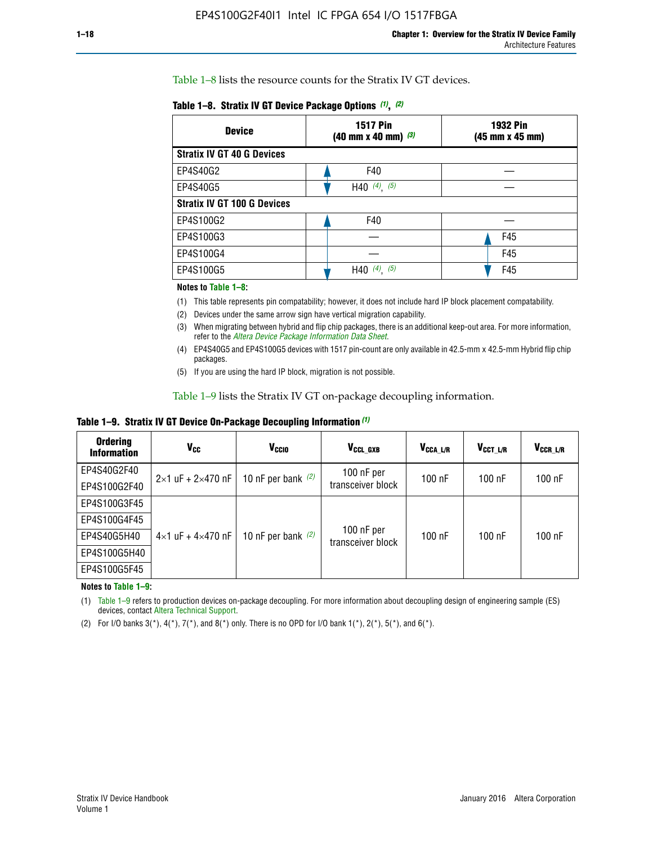Table 1–8 lists the resource counts for the Stratix IV GT devices.

| Table 1–8. Stratix IV GT Device Package Options (1), (2) |  |  |  |  |  |  |
|----------------------------------------------------------|--|--|--|--|--|--|
|----------------------------------------------------------|--|--|--|--|--|--|

| <b>Device</b>                      | <b>1932 Pin</b><br><b>1517 Pin</b><br>$(40 \text{ mm} \times 40 \text{ mm})$ (3)<br>(45 mm x 45 mm) |     |  |
|------------------------------------|-----------------------------------------------------------------------------------------------------|-----|--|
| <b>Stratix IV GT 40 G Devices</b>  |                                                                                                     |     |  |
| EP4S40G2                           | F40                                                                                                 |     |  |
| EP4S40G5                           | H40 $(4)$ , $(5)$                                                                                   |     |  |
| <b>Stratix IV GT 100 G Devices</b> |                                                                                                     |     |  |
| EP4S100G2                          | F40                                                                                                 |     |  |
| EP4S100G3                          |                                                                                                     | F45 |  |
| EP4S100G4                          |                                                                                                     | F45 |  |
| EP4S100G5                          | $(4)$ $(5)$<br>H40                                                                                  | F45 |  |

#### **Notes to Table 1–8:**

(1) This table represents pin compatability; however, it does not include hard IP block placement compatability.

- (2) Devices under the same arrow sign have vertical migration capability.
- (3) When migrating between hybrid and flip chip packages, there is an additional keep-out area. For more information, refer to the *[Altera Device Package Information Data Sheet](http://www.altera.com/literature/ds/dspkg.pdf)*.
- (4) EP4S40G5 and EP4S100G5 devices with 1517 pin-count are only available in 42.5-mm x 42.5-mm Hybrid flip chip packages.
- (5) If you are using the hard IP block, migration is not possible.

Table 1–9 lists the Stratix IV GT on-package decoupling information.

**Table 1–9. Stratix IV GT Device On-Package Decoupling Information** *(1)*

| <b>Ordering</b><br><b>Information</b> | Vcc                                 | <b>V<sub>CCIO</sub></b> | V <sub>CCL GXB</sub>            | V <sub>CCA L/R</sub> | V <sub>CCT L/R</sub> | V <sub>CCR_L/R</sub> |
|---------------------------------------|-------------------------------------|-------------------------|---------------------------------|----------------------|----------------------|----------------------|
| EP4S40G2F40                           | $2 \times 1$ uF + $2 \times 470$ nF | 10 nF per bank $(2)$    | 100 nF per<br>transceiver block | $100$ nF             | $100$ nF             | 100 nF               |
| EP4S100G2F40                          |                                     |                         |                                 |                      |                      |                      |
| EP4S100G3F45                          |                                     | 10 nF per bank $(2)$    | 100 nF per<br>transceiver block | $100$ nF             | $100$ nF             | $100$ nF             |
| EP4S100G4F45                          |                                     |                         |                                 |                      |                      |                      |
| EP4S40G5H40                           | $4\times1$ uF + $4\times470$ nF     |                         |                                 |                      |                      |                      |
| EP4S100G5H40                          |                                     |                         |                                 |                      |                      |                      |
| EP4S100G5F45                          |                                     |                         |                                 |                      |                      |                      |

**Notes to Table 1–9:**

(1) Table 1–9 refers to production devices on-package decoupling. For more information about decoupling design of engineering sample (ES) devices, contact [Altera Technical Support](http://mysupport.altera.com/eservice/login.asp).

(2) For I/O banks  $3(*)$ ,  $4(*)$ ,  $7(*)$ , and  $8(*)$  only. There is no OPD for I/O bank  $1(*)$ ,  $2(*)$ ,  $5(*)$ , and  $6(*)$ .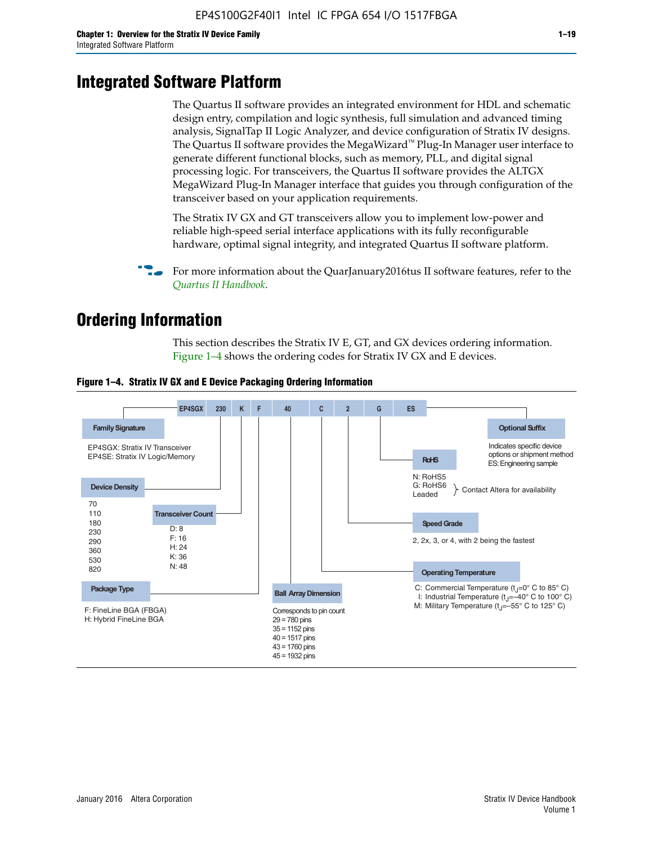# **Integrated Software Platform**

The Quartus II software provides an integrated environment for HDL and schematic design entry, compilation and logic synthesis, full simulation and advanced timing analysis, SignalTap II Logic Analyzer, and device configuration of Stratix IV designs. The Quartus II software provides the MegaWizard<sup> $M$ </sup> Plug-In Manager user interface to generate different functional blocks, such as memory, PLL, and digital signal processing logic. For transceivers, the Quartus II software provides the ALTGX MegaWizard Plug-In Manager interface that guides you through configuration of the transceiver based on your application requirements.

The Stratix IV GX and GT transceivers allow you to implement low-power and reliable high-speed serial interface applications with its fully reconfigurable hardware, optimal signal integrity, and integrated Quartus II software platform.

For more information about the QuarJanuary2016tus II software features, refer to the *[Quartus II Handbook](http://www.altera.com/literature/lit-qts.jsp)*.

# **Ordering Information**

This section describes the Stratix IV E, GT, and GX devices ordering information. Figure 1–4 shows the ordering codes for Stratix IV GX and E devices.



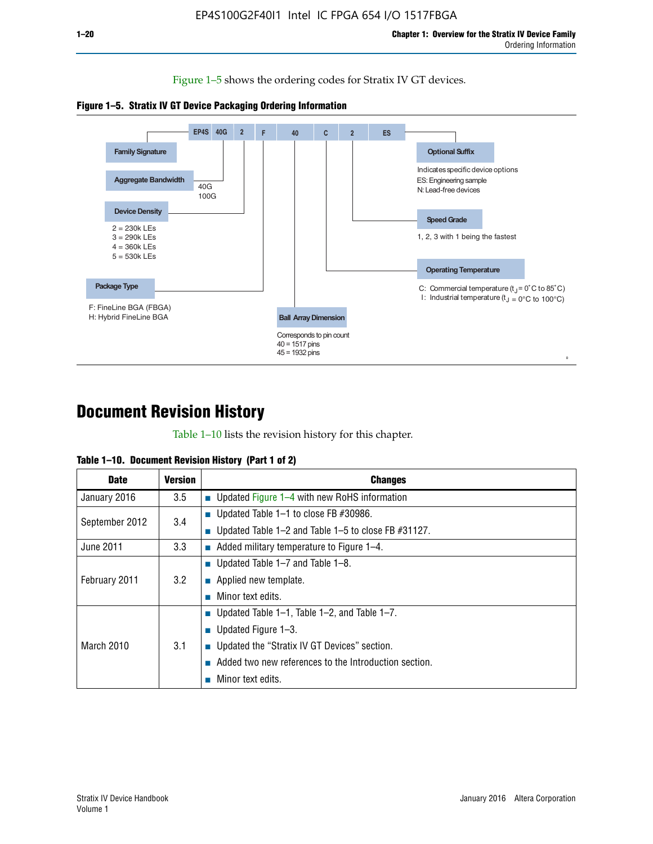Figure 1–5 shows the ordering codes for Stratix IV GT devices.





# **Document Revision History**

Table 1–10 lists the revision history for this chapter.

| Table 1–10. Document Revision History (Part 1 of 2) |  |  |  |  |  |
|-----------------------------------------------------|--|--|--|--|--|
|-----------------------------------------------------|--|--|--|--|--|

| <b>Date</b>       | <b>Version</b> | <b>Changes</b>                                              |
|-------------------|----------------|-------------------------------------------------------------|
| January 2016      | 3.5            | ■ Updated Figure $1-4$ with new RoHS information            |
| September 2012    | 3.4            | ■ Updated Table 1–1 to close FB $#30986$ .                  |
|                   |                | Updated Table $1-2$ and Table $1-5$ to close FB $\#31127$ . |
| June 2011         | 3.3            | $\blacksquare$ Added military temperature to Figure 1–4.    |
| February 2011     | 3.2            | ■ Updated Table 1–7 and Table 1–8.                          |
|                   |                | • Applied new template.                                     |
|                   |                | Minor text edits.                                           |
| <b>March 2010</b> |                | ■ Updated Table 1–1, Table 1–2, and Table 1–7.              |
|                   | 3.1            | ■ Updated Figure $1-3$ .                                    |
|                   |                | Updated the "Stratix IV GT Devices" section.                |
|                   |                | Added two new references to the Introduction section.       |
|                   |                | Minor text edits.                                           |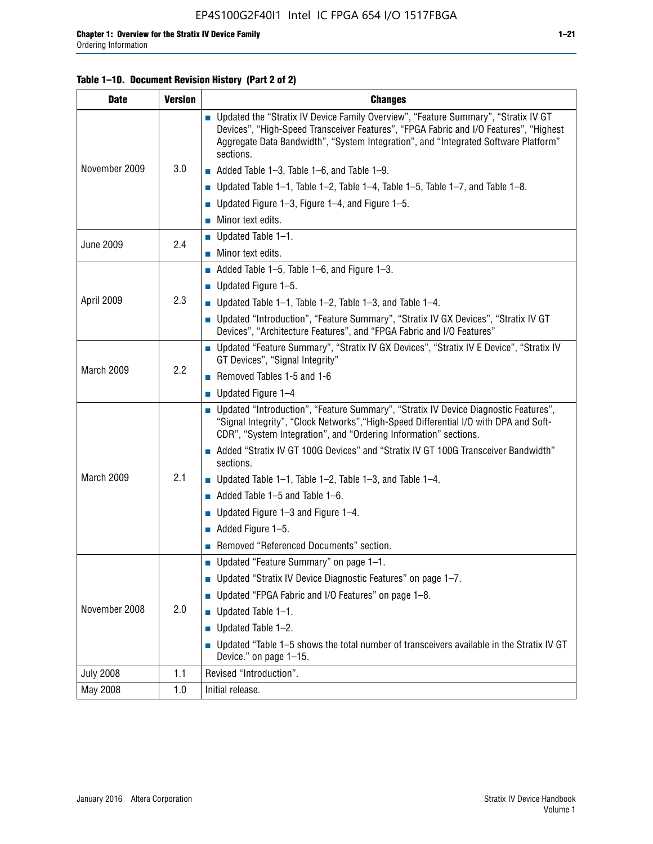## **Table 1–10. Document Revision History (Part 2 of 2)**

| <b>Date</b>      | <b>Version</b> | <b>Changes</b>                                                                                                                                                                                                                                                                    |  |  |
|------------------|----------------|-----------------------------------------------------------------------------------------------------------------------------------------------------------------------------------------------------------------------------------------------------------------------------------|--|--|
|                  |                | ■ Updated the "Stratix IV Device Family Overview", "Feature Summary", "Stratix IV GT<br>Devices", "High-Speed Transceiver Features", "FPGA Fabric and I/O Features", "Highest<br>Aggregate Data Bandwidth", "System Integration", and "Integrated Software Platform"<br>sections. |  |  |
| November 2009    | 3.0            | $\blacksquare$ Added Table 1-3, Table 1-6, and Table 1-9.                                                                                                                                                                                                                         |  |  |
|                  |                | $\blacksquare$ Updated Table 1-1, Table 1-2, Table 1-4, Table 1-5, Table 1-7, and Table 1-8.                                                                                                                                                                                      |  |  |
|                  |                | ■ Updated Figure 1–3, Figure 1–4, and Figure 1–5.                                                                                                                                                                                                                                 |  |  |
|                  |                | $\blacksquare$ Minor text edits.                                                                                                                                                                                                                                                  |  |  |
| <b>June 2009</b> | 2.4            | $\blacksquare$ Updated Table 1-1.                                                                                                                                                                                                                                                 |  |  |
|                  |                | Minor text edits.                                                                                                                                                                                                                                                                 |  |  |
|                  |                | $\blacksquare$ Added Table 1–5, Table 1–6, and Figure 1–3.                                                                                                                                                                                                                        |  |  |
|                  |                | $\blacksquare$ Updated Figure 1-5.                                                                                                                                                                                                                                                |  |  |
| April 2009       | 2.3            | Updated Table $1-1$ , Table $1-2$ , Table $1-3$ , and Table $1-4$ .                                                                                                                                                                                                               |  |  |
|                  |                | ■ Updated "Introduction", "Feature Summary", "Stratix IV GX Devices", "Stratix IV GT<br>Devices", "Architecture Features", and "FPGA Fabric and I/O Features"                                                                                                                     |  |  |
|                  | 2.2            | ■ Updated "Feature Summary", "Stratix IV GX Devices", "Stratix IV E Device", "Stratix IV<br>GT Devices", "Signal Integrity"                                                                                                                                                       |  |  |
| March 2009       |                | Removed Tables 1-5 and 1-6                                                                                                                                                                                                                                                        |  |  |
|                  |                | Updated Figure 1-4                                                                                                                                                                                                                                                                |  |  |
|                  |                | ■ Updated "Introduction", "Feature Summary", "Stratix IV Device Diagnostic Features",<br>"Signal Integrity", "Clock Networks", "High-Speed Differential I/O with DPA and Soft-<br>CDR", "System Integration", and "Ordering Information" sections.                                |  |  |
|                  |                | Added "Stratix IV GT 100G Devices" and "Stratix IV GT 100G Transceiver Bandwidth"<br>sections.                                                                                                                                                                                    |  |  |
| March 2009       | 2.1            | <b>Updated Table 1–1, Table 1–2, Table 1–3, and Table 1–4.</b>                                                                                                                                                                                                                    |  |  |
|                  |                | $\blacksquare$ Added Table 1-5 and Table 1-6.                                                                                                                                                                                                                                     |  |  |
|                  |                | ■ Updated Figure $1-3$ and Figure $1-4$ .                                                                                                                                                                                                                                         |  |  |
|                  |                | $\blacksquare$ Added Figure 1-5.                                                                                                                                                                                                                                                  |  |  |
|                  |                | Removed "Referenced Documents" section.                                                                                                                                                                                                                                           |  |  |
|                  | 2.0            | Updated "Feature Summary" on page 1-1.                                                                                                                                                                                                                                            |  |  |
|                  |                | ■ Updated "Stratix IV Device Diagnostic Features" on page 1-7.                                                                                                                                                                                                                    |  |  |
| November 2008    |                | Updated "FPGA Fabric and I/O Features" on page 1-8.                                                                                                                                                                                                                               |  |  |
|                  |                | $\blacksquare$ Updated Table 1-1.                                                                                                                                                                                                                                                 |  |  |
|                  |                | Updated Table 1-2.                                                                                                                                                                                                                                                                |  |  |
|                  |                | Updated "Table 1-5 shows the total number of transceivers available in the Stratix IV GT<br>Device." on page 1-15.                                                                                                                                                                |  |  |
| <b>July 2008</b> | 1.1            | Revised "Introduction".                                                                                                                                                                                                                                                           |  |  |
| May 2008         | 1.0            | Initial release.                                                                                                                                                                                                                                                                  |  |  |